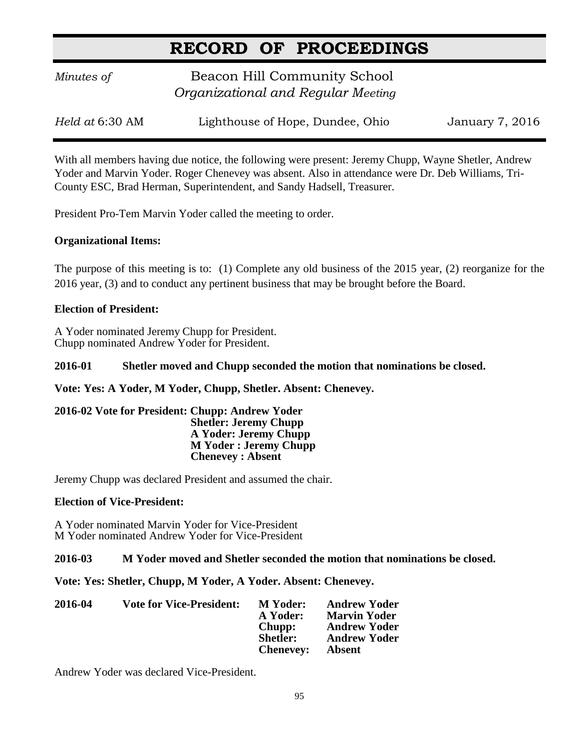*Minutes of* **Beacon Hill Community School**  *Organizational and Regular Meeting*

| Held at 6:30 AM | Lighthouse of Hope, Dundee, Ohio | January 7, 2016 |
|-----------------|----------------------------------|-----------------|
|-----------------|----------------------------------|-----------------|

With all members having due notice, the following were present: Jeremy Chupp, Wayne Shetler, Andrew Yoder and Marvin Yoder. Roger Chenevey was absent. Also in attendance were Dr. Deb Williams, Tri-County ESC, Brad Herman, Superintendent, and Sandy Hadsell, Treasurer.

President Pro-Tem Marvin Yoder called the meeting to order.

## **Organizational Items:**

The purpose of this meeting is to: (1) Complete any old business of the 2015 year, (2) reorganize for the 2016 year, (3) and to conduct any pertinent business that may be brought before the Board.

# **Election of President:**

A Yoder nominated Jeremy Chupp for President. Chupp nominated Andrew Yoder for President.

## **2016-01 Shetler moved and Chupp seconded the motion that nominations be closed.**

## **Vote: Yes: A Yoder, M Yoder, Chupp, Shetler. Absent: Chenevey.**

#### **2016-02 Vote for President: Chupp: Andrew Yoder Shetler: Jeremy Chupp A Yoder: Jeremy Chupp M Yoder : Jeremy Chupp Chenevey : Absent**

Jeremy Chupp was declared President and assumed the chair.

## **Election of Vice-President:**

A Yoder nominated Marvin Yoder for Vice-President M Yoder nominated Andrew Yoder for Vice-President

**2016-03 M Yoder moved and Shetler seconded the motion that nominations be closed.**

**Vote: Yes: Shetler, Chupp, M Yoder, A Yoder. Absent: Chenevey.**

| 2016-04 | <b>Vote for Vice-President:</b> | <b>M</b> Yoder:  | <b>Andrew Yoder</b> |
|---------|---------------------------------|------------------|---------------------|
|         |                                 | A Yoder:         | <b>Marvin Yoder</b> |
|         |                                 | Chupp:           | <b>Andrew Yoder</b> |
|         |                                 | <b>Shetler:</b>  | <b>Andrew Yoder</b> |
|         |                                 | <b>Chenevey:</b> | Absent              |

Andrew Yoder was declared Vice-President.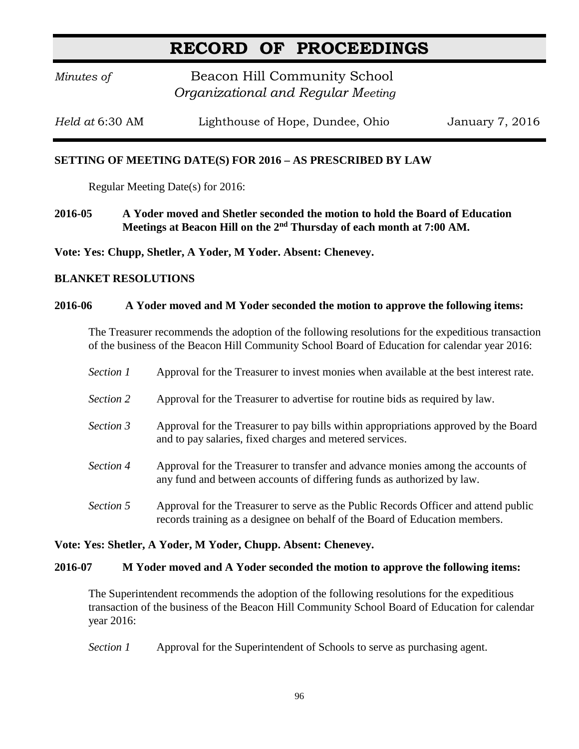*Minutes of* **Beacon Hill Community School**  *Organizational and Regular Meeting*

*Held at* 6:30 AM Lighthouse of Hope, Dundee, Ohio January 7, 2016

# **SETTING OF MEETING DATE(S) FOR 2016 – AS PRESCRIBED BY LAW**

Regular Meeting Date(s) for 2016:

**2016-05 A Yoder moved and Shetler seconded the motion to hold the Board of Education Meetings at Beacon Hill on the 2nd Thursday of each month at 7:00 AM.**

**Vote: Yes: Chupp, Shetler, A Yoder, M Yoder. Absent: Chenevey.**

## **BLANKET RESOLUTIONS**

#### **2016-06 A Yoder moved and M Yoder seconded the motion to approve the following items:**

The Treasurer recommends the adoption of the following resolutions for the expeditious transaction of the business of the Beacon Hill Community School Board of Education for calendar year 2016:

- *Section 1* Approval for the Treasurer to invest monies when available at the best interest rate.
- *Section 2* Approval for the Treasurer to advertise for routine bids as required by law.
- *Section 3* Approval for the Treasurer to pay bills within appropriations approved by the Board and to pay salaries, fixed charges and metered services.
- *Section 4* Approval for the Treasurer to transfer and advance monies among the accounts of any fund and between accounts of differing funds as authorized by law.
- *Section 5* Approval for the Treasurer to serve as the Public Records Officer and attend public records training as a designee on behalf of the Board of Education members.

#### **Vote: Yes: Shetler, A Yoder, M Yoder, Chupp. Absent: Chenevey.**

#### **2016-07 M Yoder moved and A Yoder seconded the motion to approve the following items:**

The Superintendent recommends the adoption of the following resolutions for the expeditious transaction of the business of the Beacon Hill Community School Board of Education for calendar year 2016:

*Section 1* Approval for the Superintendent of Schools to serve as purchasing agent.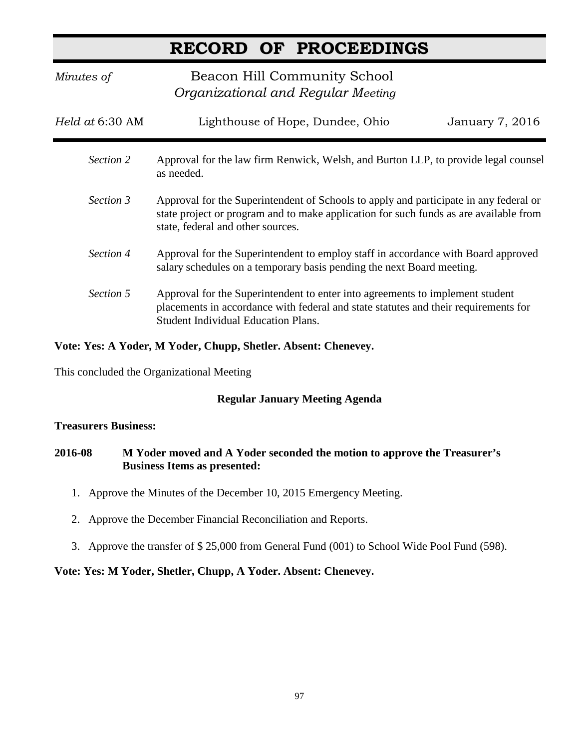*Minutes of* **Beacon Hill Community School**  *Organizational and Regular Meeting Held at* 6:30 AM Lighthouse of Hope, Dundee, Ohio January 7, 2016 *Section 2* Approval for the law firm Renwick, Welsh, and Burton LLP, to provide legal counsel as needed. *Section 3* Approval for the Superintendent of Schools to apply and participate in any federal or state project or program and to make application for such funds as are available from state, federal and other sources. *Section 4* Approval for the Superintendent to employ staff in accordance with Board approved salary schedules on a temporary basis pending the next Board meeting. *Section 5* Approval for the Superintendent to enter into agreements to implement student placements in accordance with federal and state statutes and their requirements for Student Individual Education Plans.

# **Vote: Yes: A Yoder, M Yoder, Chupp, Shetler. Absent: Chenevey.**

This concluded the Organizational Meeting

# **Regular January Meeting Agenda**

## **Treasurers Business:**

# **2016-08 M Yoder moved and A Yoder seconded the motion to approve the Treasurer's Business Items as presented:**

- 1. Approve the Minutes of the December 10, 2015 Emergency Meeting.
- 2. Approve the December Financial Reconciliation and Reports.
- 3. Approve the transfer of \$ 25,000 from General Fund (001) to School Wide Pool Fund (598).

## **Vote: Yes: M Yoder, Shetler, Chupp, A Yoder. Absent: Chenevey.**